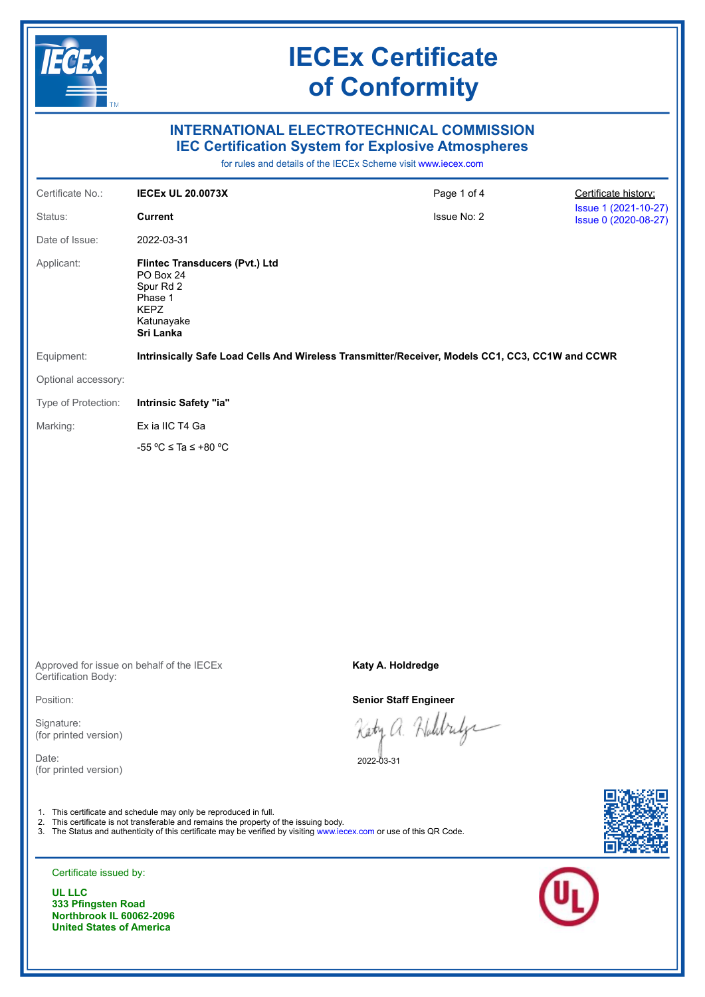

**333 Pfingsten Road** 

### **Northbrook IL 60062-2096 United States of America**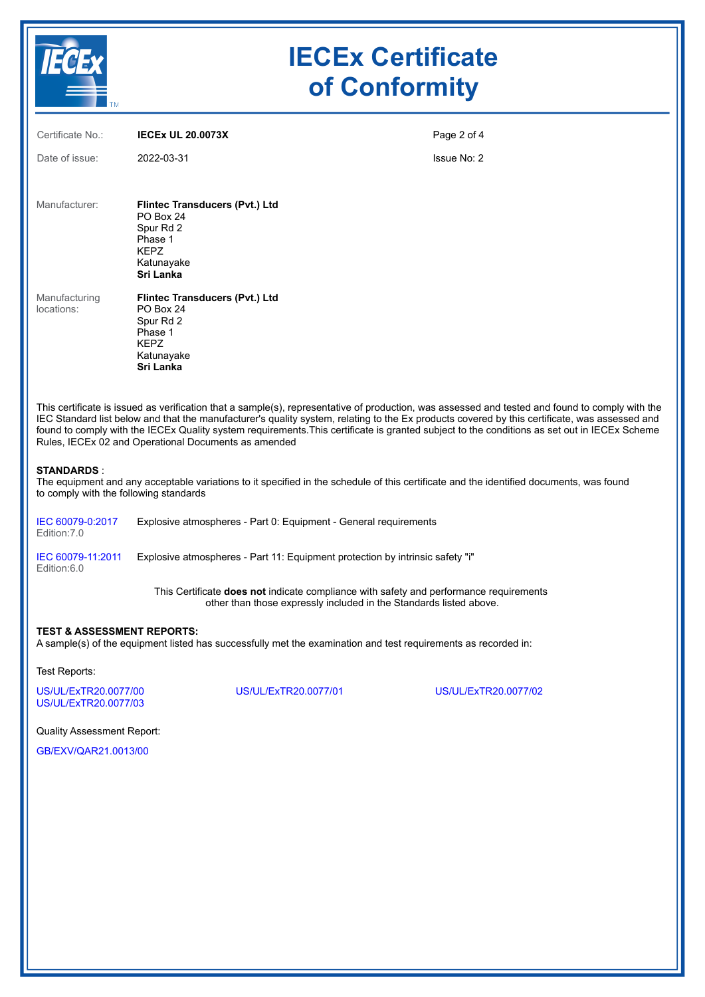

## **IECEx Certificate of Conformity**

| Certificate No.:                                                                                                                                                                                                                                                                                                                                                                                                                                                                                         | <b>IECEX UL 20.0073X</b>                                                                                                                                     | Page 2 of 4 |  |  |
|----------------------------------------------------------------------------------------------------------------------------------------------------------------------------------------------------------------------------------------------------------------------------------------------------------------------------------------------------------------------------------------------------------------------------------------------------------------------------------------------------------|--------------------------------------------------------------------------------------------------------------------------------------------------------------|-------------|--|--|
| Date of issue:                                                                                                                                                                                                                                                                                                                                                                                                                                                                                           | 2022-03-31                                                                                                                                                   | Issue No: 2 |  |  |
| Manufacturer:                                                                                                                                                                                                                                                                                                                                                                                                                                                                                            | Flintec Transducers (Pvt.) Ltd<br>PO Box 24<br>Spur Rd 2<br>Phase 1<br><b>KEPZ</b><br>Katunayake<br>Sri Lanka                                                |             |  |  |
| Manufacturing<br>locations:                                                                                                                                                                                                                                                                                                                                                                                                                                                                              | <b>Flintec Transducers (Pvt.) Ltd</b><br>PO Box 24<br>Spur Rd 2<br>Phase 1<br><b>KEPZ</b><br>Katunayake<br>Sri Lanka                                         |             |  |  |
| This certificate is issued as verification that a sample(s), representative of production, was assessed and tested and found to comply with the<br>IEC Standard list below and that the manufacturer's quality system, relating to the Ex products covered by this certificate, was assessed and<br>found to comply with the IECEx Quality system requirements. This certificate is granted subject to the conditions as set out in IECEx Scheme<br>Rules, IECEx 02 and Operational Documents as amended |                                                                                                                                                              |             |  |  |
| <b>STANDARDS:</b><br>to comply with the following standards                                                                                                                                                                                                                                                                                                                                                                                                                                              | The equipment and any acceptable variations to it specified in the schedule of this certificate and the identified documents, was found                      |             |  |  |
| IEC 60079-0:2017<br>Edition: 7.0                                                                                                                                                                                                                                                                                                                                                                                                                                                                         | Explosive atmospheres - Part 0: Equipment - General requirements                                                                                             |             |  |  |
| IEC 60079-11:2011<br>Edition:6.0                                                                                                                                                                                                                                                                                                                                                                                                                                                                         | Explosive atmospheres - Part 11: Equipment protection by intrinsic safety "i"                                                                                |             |  |  |
|                                                                                                                                                                                                                                                                                                                                                                                                                                                                                                          | This Certificate does not indicate compliance with safety and performance requirements<br>other than those expressly included in the Standards listed above. |             |  |  |
| <b>TEST &amp; ASSESSMENT REPORTS:</b><br>A sample(s) of the equipment listed has successfully met the examination and test requirements as recorded in:                                                                                                                                                                                                                                                                                                                                                  |                                                                                                                                                              |             |  |  |

Test Reports:

[US/UL/ExTR20.0077/00](https://www.iecex-certs.com/#/deliverables/REPORT/65643/view) [US/UL/ExTR20.0077/01](https://www.iecex-certs.com/#/deliverables/REPORT/67548/view) [US/UL/ExTR20.0077/02](https://www.iecex-certs.com/#/deliverables/REPORT/78255/view) [US/UL/ExTR20.0077/03](https://www.iecex-certs.com/#/deliverables/REPORT/81561/view)

Quality Assessment Report:

[GB/EXV/QAR21.0013/00](https://www.iecex-certs.com/#/deliverables/REPORT/79842/view)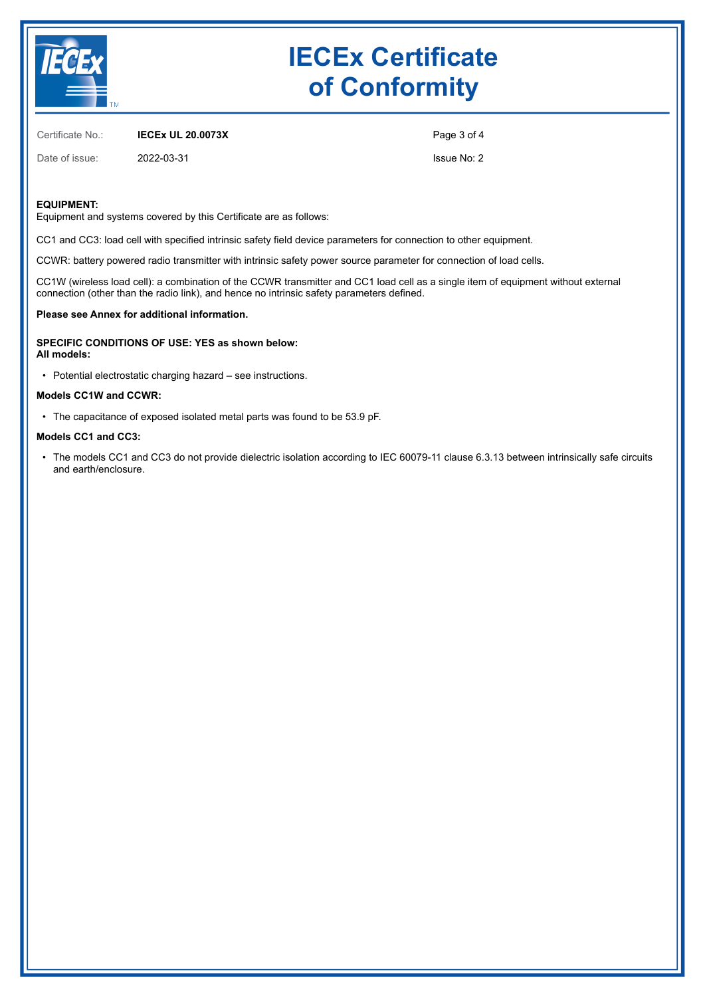

# **IECEx Certificate of Conformity**

Certificate No.: **IECEx UL 20.0073X**

Date of issue: 2022-03-31

Page 3 of 4 Issue No: 2

#### **EQUIPMENT:**

Equipment and systems covered by this Certificate are as follows:

CC1 and CC3: load cell with specified intrinsic safety field device parameters for connection to other equipment.

CCWR: battery powered radio transmitter with intrinsic safety power source parameter for connection of load cells.

CC1W (wireless load cell): a combination of the CCWR transmitter and CC1 load cell as a single item of equipment without external connection (other than the radio link), and hence no intrinsic safety parameters defined.

#### **Please see Annex for additional information.**

**SPECIFIC CONDITIONS OF USE: YES as shown below: All models:**

• Potential electrostatic charging hazard – see instructions.

#### **Models CC1W and CCWR:**

• The capacitance of exposed isolated metal parts was found to be 53.9 pF.

#### **Models CC1 and CC3:**

• The models CC1 and CC3 do not provide dielectric isolation according to IEC 60079-11 clause 6.3.13 between intrinsically safe circuits and earth/enclosure.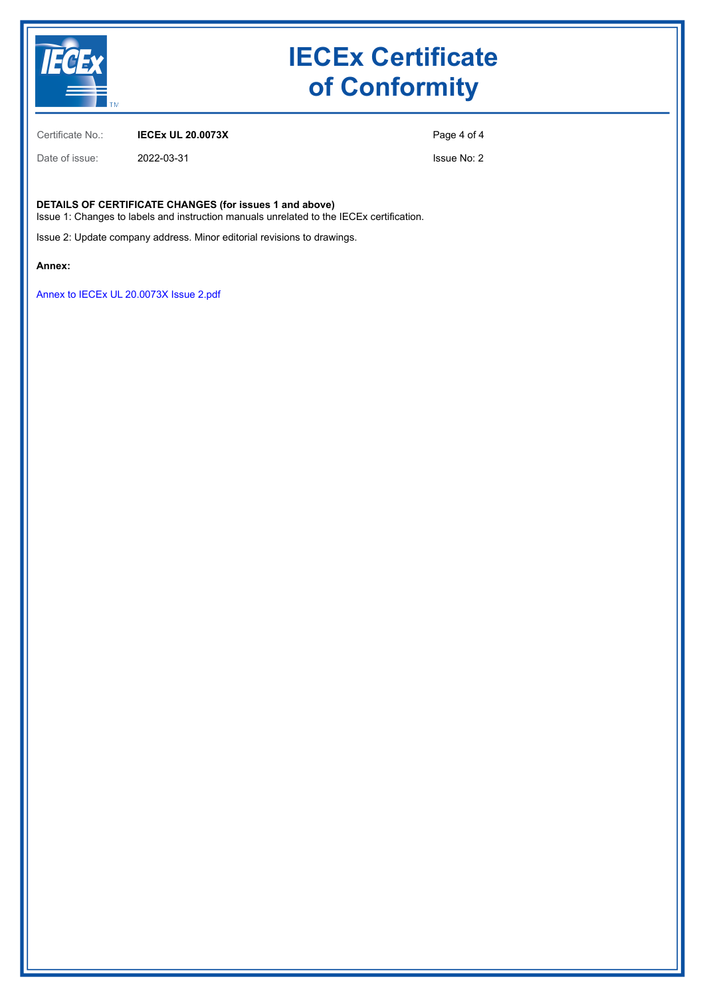

# **IECEx Certificate of Conformity**

Certificate No.: **IECEx UL 20.0073X**

Date of issue: 2022-03-31

Page 4 of 4

Issue No: 2

**DETAILS OF CERTIFICATE CHANGES (for issues 1 and above)**

Issue 1: Changes to labels and instruction manuals unrelated to the IECEx certification.

Issue 2: Update company address. Minor editorial revisions to drawings.

**Annex:**

[Annex to IECEx UL 20.0073X Issue 2.pdf](https://www.iecex-certs.com/#/deliverables/CERT/59603/view)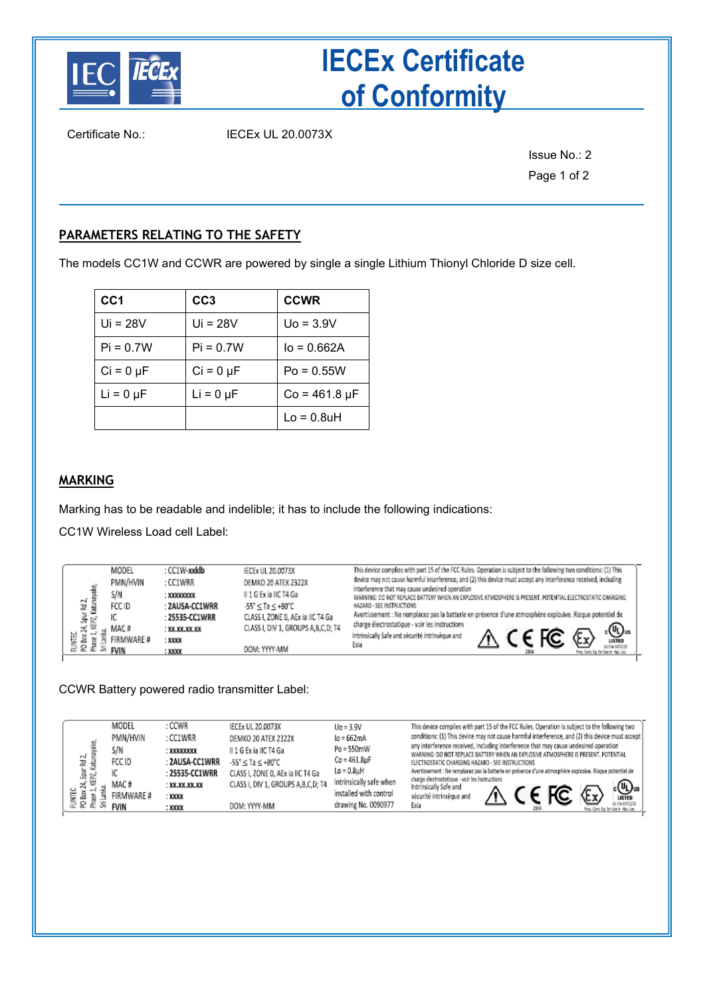

# **IECEx Certificate of Conformity**

Certificate No.: IECEx UL 20.0073X

Issue No.: 2 Page 1 of 2

## **PARAMETERS RELATING TO THE SAFETY**

The models CC1W and CCWR are powered by single a single Lithium Thionyl Chloride D size cell.

| CC <sub>1</sub> | CC <sub>3</sub> | <b>CCWR</b>          |
|-----------------|-----------------|----------------------|
| Ui = $28V$      | $Ui = 28V$      | $Uo = 3.9V$          |
| $Pi = 0.7W$     | $Pi = 0.7W$     | $I_0 = 0.662A$       |
| $Ci = 0 \mu F$  | $Ci = 0 \mu F$  | $Po = 0.55W$         |
| $Li = 0 \mu F$  | $Li = 0 \mu F$  | $Co = 461.8 \,\mu F$ |
|                 |                 | $Lo = 0.8uH$         |

### **MARKING**

Marking has to be readable and indelible; it has to include the following indications:

CC1W Wireless Load cell Label:

| ьī<br>꾽<br>룡<br>嵩<br>Ë<br>å<br>$\circ$ | MODEL<br>PMN/HVIN<br>S/N<br>FCC ID<br>MAC #<br>FIRMWARE #<br>FVIN | : CC1W-xxklb<br>: CC1WRR<br>: XXXXXXXXX<br>: 2AUSA-CC1WRR<br>: 25535-CC1WRR<br>: XX.XX.XX.XX<br>: XXXX<br>: XXXX | <b>IECEx UL 20.0073X</b><br>DEMKO 20 ATEX 2322X<br>II 1 G Ex ia IIC T4 Ga<br>$-55^{\circ} <$ Ta $< +80^{\circ}$ C<br>CLASS I, ZONE 0, AEx ia IIC T4 Ga<br>CLASS I, DIV 1, GROUPS A,B,C,D; T4<br>DOM: YYYY-MM | This device complies with part 15 of the FCC Rules. Operation is subject to the following two conditions: (1) This<br>device may not cause harmful interference, and (2) this device must accept any interference received, including<br>interference that may cause undesired operation<br>WARNING: DO NOT REPLACE BATTERY WHEN AN EXPLOSIVE ATMOSPHERE IS PRESENT. POTENTIAL ELECTROSTATIC CHARGING<br>HAZARD - SEE INSTRUCTIONS<br>Avertissement : Ne remplacez pas la batterie en présence d'une atmosphère explosive. Risque potentiel de<br>charge électrostatique - voir les instructions<br>. <b>®</b><br>பள்ள<br>Intrinsically Safe and sécurité intrinsèque and<br>Exia<br>ULFIN 5471172<br>Proc. Cont. Eq. for Use in Haz. Loc.<br>2804 |
|----------------------------------------|-------------------------------------------------------------------|------------------------------------------------------------------------------------------------------------------|--------------------------------------------------------------------------------------------------------------------------------------------------------------------------------------------------------------|----------------------------------------------------------------------------------------------------------------------------------------------------------------------------------------------------------------------------------------------------------------------------------------------------------------------------------------------------------------------------------------------------------------------------------------------------------------------------------------------------------------------------------------------------------------------------------------------------------------------------------------------------------------------------------------------------------------------------------------------------|
|----------------------------------------|-------------------------------------------------------------------|------------------------------------------------------------------------------------------------------------------|--------------------------------------------------------------------------------------------------------------------------------------------------------------------------------------------------------------|----------------------------------------------------------------------------------------------------------------------------------------------------------------------------------------------------------------------------------------------------------------------------------------------------------------------------------------------------------------------------------------------------------------------------------------------------------------------------------------------------------------------------------------------------------------------------------------------------------------------------------------------------------------------------------------------------------------------------------------------------|

CCWR Battery powered radio transmitter Label:

| $\sim$<br>꾿<br>PZ.<br>24<br>LINTEC<br>å<br>$\circ$ | MODEL<br>PMN/HVIN<br>S/N<br>FCC ID<br>MAC#<br>FIRMWARE #<br><b>FVIN</b> | : CCWR<br>: CC1WRR<br>: XXXXXXXXX<br>: 2AUSA-CC1WRR<br>$: 25535$ -CC1WRR<br>: XX.XX.XX.XX<br>: XXXX<br>: XXXX | IECEx UL 20.0073X<br>DEMKO 20 ATEX 2322X<br>II 1 G Ex ia IIC T4 Ga<br>$-55^{\circ} <$ Ta $\leq$ +80°C<br>CLASS I, ZONE 0, AEx ia IIC T4 Ga<br>CLASS I, DIV 1, GROUPS A, B, C, D; T4<br>DOM: YYYY-MM | $U_0 = 3.9V$<br>lo = 662mA<br>Po = 550mW<br>$Co = 461.8\mu F$<br>Lo = 0.8uH<br>Intrinsically safe when<br>installed with control<br>drawing No. 0090977 | This device complies with part 15 of the FCC Rules. Operation is subject to the following two<br>conditions: (1) This device may not cause harmful interference, and (2) this device must accept<br>any interference received, including interference that may cause undesired operation<br>WARNING: DO NOT REPLACE BATTERY WHEN AN EXPLOSIVE ATMOSPHERE IS PRESENT. POTENTIAL<br>ELECTROSTATIC CHARGING HAZARD - SEE INSTRUCTIONS<br>Avertissement : Ne remplacez pas la batterie en présence d'une atmosphère explosive. Risque potentiel de<br>charge électrostatique - voir les instructions<br>$\begin{matrix} \cdot & \mathbb{Q} \\ \mathbb{Q} \end{matrix}$ us<br>Intrinsically Safe and<br>sécurité intrinsèque and<br>UL File E471172<br>Exia<br>Proc. Cont. Eq. for Use in Haz. Loc. |
|----------------------------------------------------|-------------------------------------------------------------------------|---------------------------------------------------------------------------------------------------------------|-----------------------------------------------------------------------------------------------------------------------------------------------------------------------------------------------------|---------------------------------------------------------------------------------------------------------------------------------------------------------|------------------------------------------------------------------------------------------------------------------------------------------------------------------------------------------------------------------------------------------------------------------------------------------------------------------------------------------------------------------------------------------------------------------------------------------------------------------------------------------------------------------------------------------------------------------------------------------------------------------------------------------------------------------------------------------------------------------------------------------------------------------------------------------------|
|----------------------------------------------------|-------------------------------------------------------------------------|---------------------------------------------------------------------------------------------------------------|-----------------------------------------------------------------------------------------------------------------------------------------------------------------------------------------------------|---------------------------------------------------------------------------------------------------------------------------------------------------------|------------------------------------------------------------------------------------------------------------------------------------------------------------------------------------------------------------------------------------------------------------------------------------------------------------------------------------------------------------------------------------------------------------------------------------------------------------------------------------------------------------------------------------------------------------------------------------------------------------------------------------------------------------------------------------------------------------------------------------------------------------------------------------------------|